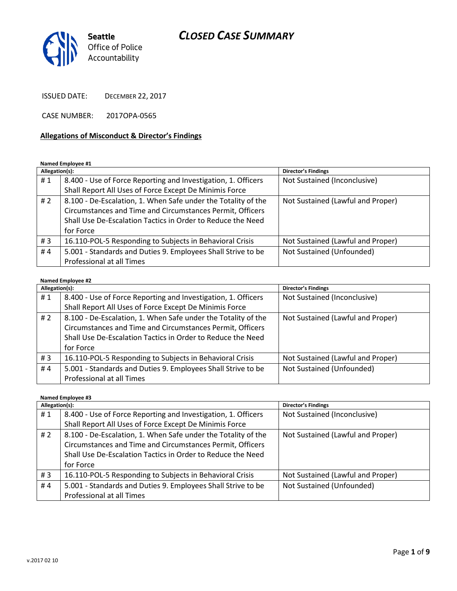

ISSUED DATE: DECEMBER 22, 2017

CASE NUMBER: 2017OPA-0565

#### **Allegations of Misconduct & Director's Findings**

#### **Named Employee #1**

| Allegation(s): |                                                               | Director's Findings               |
|----------------|---------------------------------------------------------------|-----------------------------------|
| #1             | 8.400 - Use of Force Reporting and Investigation, 1. Officers | Not Sustained (Inconclusive)      |
|                | Shall Report All Uses of Force Except De Minimis Force        |                                   |
| #2             | 8.100 - De-Escalation, 1. When Safe under the Totality of the | Not Sustained (Lawful and Proper) |
|                | Circumstances and Time and Circumstances Permit, Officers     |                                   |
|                | Shall Use De-Escalation Tactics in Order to Reduce the Need   |                                   |
|                | for Force                                                     |                                   |
| #3             | 16.110-POL-5 Responding to Subjects in Behavioral Crisis      | Not Sustained (Lawful and Proper) |
| #4             | 5.001 - Standards and Duties 9. Employees Shall Strive to be  | Not Sustained (Unfounded)         |
|                | Professional at all Times                                     |                                   |

### **Named Employee #2**

| Allegation(s): |                                                               | Director's Findings               |
|----------------|---------------------------------------------------------------|-----------------------------------|
| #1             | 8.400 - Use of Force Reporting and Investigation, 1. Officers | Not Sustained (Inconclusive)      |
|                | Shall Report All Uses of Force Except De Minimis Force        |                                   |
| # $2$          | 8.100 - De-Escalation, 1. When Safe under the Totality of the | Not Sustained (Lawful and Proper) |
|                | Circumstances and Time and Circumstances Permit, Officers     |                                   |
|                | Shall Use De-Escalation Tactics in Order to Reduce the Need   |                                   |
|                | for Force                                                     |                                   |
| #3             | 16.110-POL-5 Responding to Subjects in Behavioral Crisis      | Not Sustained (Lawful and Proper) |
| #4             | 5.001 - Standards and Duties 9. Employees Shall Strive to be  | Not Sustained (Unfounded)         |
|                | Professional at all Times                                     |                                   |

#### **Named Employee #3**

| Allegation(s): |                                                               | <b>Director's Findings</b>        |
|----------------|---------------------------------------------------------------|-----------------------------------|
| #1             | 8.400 - Use of Force Reporting and Investigation, 1. Officers | Not Sustained (Inconclusive)      |
|                | Shall Report All Uses of Force Except De Minimis Force        |                                   |
| # 2            | 8.100 - De-Escalation, 1. When Safe under the Totality of the | Not Sustained (Lawful and Proper) |
|                | Circumstances and Time and Circumstances Permit, Officers     |                                   |
|                | Shall Use De-Escalation Tactics in Order to Reduce the Need   |                                   |
|                | for Force                                                     |                                   |
| #3             | 16.110-POL-5 Responding to Subjects in Behavioral Crisis      | Not Sustained (Lawful and Proper) |
| #4             | 5.001 - Standards and Duties 9. Employees Shall Strive to be  | Not Sustained (Unfounded)         |
|                | Professional at all Times                                     |                                   |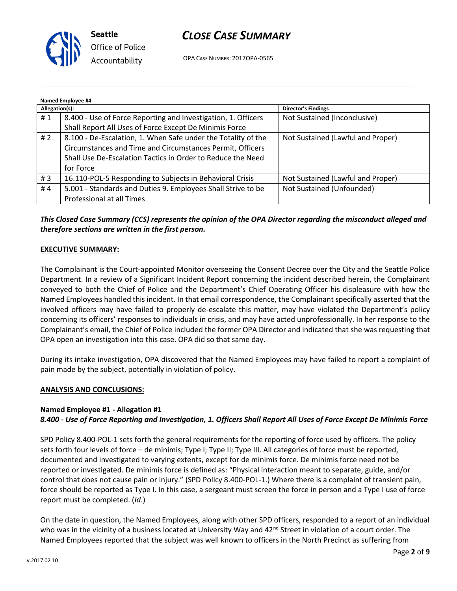

OPA CASE NUMBER: 2017OPA-0565

| Named Employee #4 |                                                               |                                   |  |  |
|-------------------|---------------------------------------------------------------|-----------------------------------|--|--|
| Allegation(s):    |                                                               | Director's Findings               |  |  |
| #1                | 8.400 - Use of Force Reporting and Investigation, 1. Officers | Not Sustained (Inconclusive)      |  |  |
|                   | Shall Report All Uses of Force Except De Minimis Force        |                                   |  |  |
| # $2$             | 8.100 - De-Escalation, 1. When Safe under the Totality of the | Not Sustained (Lawful and Proper) |  |  |
|                   | Circumstances and Time and Circumstances Permit, Officers     |                                   |  |  |
|                   | Shall Use De-Escalation Tactics in Order to Reduce the Need   |                                   |  |  |
|                   | for Force                                                     |                                   |  |  |
| #3                | 16.110-POL-5 Responding to Subjects in Behavioral Crisis      | Not Sustained (Lawful and Proper) |  |  |
| #4                | 5.001 - Standards and Duties 9. Employees Shall Strive to be  | Not Sustained (Unfounded)         |  |  |
|                   | Professional at all Times                                     |                                   |  |  |

*This Closed Case Summary (CCS) represents the opinion of the OPA Director regarding the misconduct alleged and therefore sections are written in the first person.* 

### **EXECUTIVE SUMMARY:**

The Complainant is the Court-appointed Monitor overseeing the Consent Decree over the City and the Seattle Police Department. In a review of a Significant Incident Report concerning the incident described herein, the Complainant conveyed to both the Chief of Police and the Department's Chief Operating Officer his displeasure with how the Named Employees handled this incident. In that email correspondence, the Complainant specifically asserted that the involved officers may have failed to properly de-escalate this matter, may have violated the Department's policy concerning its officers' responses to individuals in crisis, and may have acted unprofessionally. In her response to the Complainant's email, the Chief of Police included the former OPA Director and indicated that she was requesting that OPA open an investigation into this case. OPA did so that same day.

During its intake investigation, OPA discovered that the Named Employees may have failed to report a complaint of pain made by the subject, potentially in violation of policy.

### **ANALYSIS AND CONCLUSIONS:**

### **Named Employee #1 - Allegation #1** *8.400 - Use of Force Reporting and Investigation, 1. Officers Shall Report All Uses of Force Except De Minimis Force*

SPD Policy 8.400-POL-1 sets forth the general requirements for the reporting of force used by officers. The policy sets forth four levels of force – de minimis; Type I; Type II; Type III. All categories of force must be reported, documented and investigated to varying extents, except for de minimis force. De minimis force need not be reported or investigated. De minimis force is defined as: "Physical interaction meant to separate, guide, and/or control that does not cause pain or injury." (SPD Policy 8.400-POL-1.) Where there is a complaint of transient pain, force should be reported as Type I. In this case, a sergeant must screen the force in person and a Type I use of force report must be completed. (*Id*.)

On the date in question, the Named Employees, along with other SPD officers, responded to a report of an individual who was in the vicinity of a business located at University Way and 42<sup>nd</sup> Street in violation of a court order. The Named Employees reported that the subject was well known to officers in the North Precinct as suffering from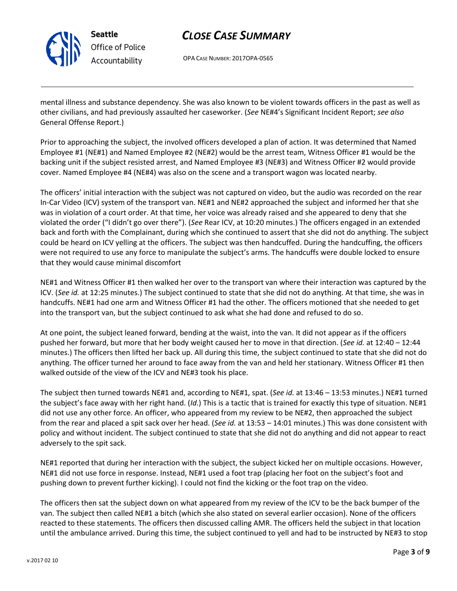

**Seattle** *Office of Police Accountability*

## *CLOSE CASE SUMMARY*

OPA CASE NUMBER: 2017OPA-0565

mental illness and substance dependency. She was also known to be violent towards officers in the past as well as other civilians, and had previously assaulted her caseworker. (*See* NE#4's Significant Incident Report; *see also* General Offense Report.)

Prior to approaching the subject, the involved officers developed a plan of action. It was determined that Named Employee #1 (NE#1) and Named Employee #2 (NE#2) would be the arrest team, Witness Officer #1 would be the backing unit if the subject resisted arrest, and Named Employee #3 (NE#3) and Witness Officer #2 would provide cover. Named Employee #4 (NE#4) was also on the scene and a transport wagon was located nearby.

The officers' initial interaction with the subject was not captured on video, but the audio was recorded on the rear In-Car Video (ICV) system of the transport van. NE#1 and NE#2 approached the subject and informed her that she was in violation of a court order. At that time, her voice was already raised and she appeared to deny that she violated the order ("I didn't go over there"). (*See* Rear ICV, at 10:20 minutes.) The officers engaged in an extended back and forth with the Complainant, during which she continued to assert that she did not do anything. The subject could be heard on ICV yelling at the officers. The subject was then handcuffed. During the handcuffing, the officers were not required to use any force to manipulate the subject's arms. The handcuffs were double locked to ensure that they would cause minimal discomfort

NE#1 and Witness Officer #1 then walked her over to the transport van where their interaction was captured by the ICV. (*See id.* at 12:25 minutes.) The subject continued to state that she did not do anything. At that time, she was in handcuffs. NE#1 had one arm and Witness Officer #1 had the other. The officers motioned that she needed to get into the transport van, but the subject continued to ask what she had done and refused to do so.

At one point, the subject leaned forward, bending at the waist, into the van. It did not appear as if the officers pushed her forward, but more that her body weight caused her to move in that direction. (*See id.* at 12:40 – 12:44 minutes.) The officers then lifted her back up. All during this time, the subject continued to state that she did not do anything. The officer turned her around to face away from the van and held her stationary. Witness Officer #1 then walked outside of the view of the ICV and NE#3 took his place.

The subject then turned towards NE#1 and, according to NE#1, spat. (*See id.* at 13:46 – 13:53 minutes.) NE#1 turned the subject's face away with her right hand. (*Id*.) This is a tactic that is trained for exactly this type of situation. NE#1 did not use any other force. An officer, who appeared from my review to be NE#2, then approached the subject from the rear and placed a spit sack over her head. (*See id.* at 13:53 – 14:01 minutes.) This was done consistent with policy and without incident. The subject continued to state that she did not do anything and did not appear to react adversely to the spit sack.

NE#1 reported that during her interaction with the subject, the subject kicked her on multiple occasions. However, NE#1 did not use force in response. Instead, NE#1 used a foot trap (placing her foot on the subject's foot and pushing down to prevent further kicking). I could not find the kicking or the foot trap on the video.

The officers then sat the subject down on what appeared from my review of the ICV to be the back bumper of the van. The subject then called NE#1 a bitch (which she also stated on several earlier occasion). None of the officers reacted to these statements. The officers then discussed calling AMR. The officers held the subject in that location until the ambulance arrived. During this time, the subject continued to yell and had to be instructed by NE#3 to stop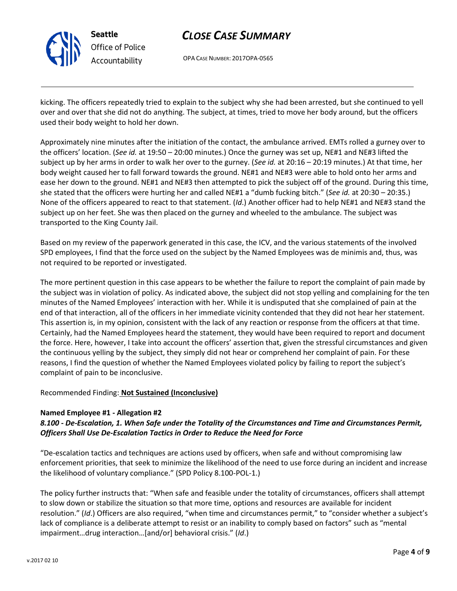

OPA CASE NUMBER: 2017OPA-0565

kicking. The officers repeatedly tried to explain to the subject why she had been arrested, but she continued to yell over and over that she did not do anything. The subject, at times, tried to move her body around, but the officers used their body weight to hold her down.

Approximately nine minutes after the initiation of the contact, the ambulance arrived. EMTs rolled a gurney over to the officers' location. (*See id.* at 19:50 – 20:00 minutes.) Once the gurney was set up, NE#1 and NE#3 lifted the subject up by her arms in order to walk her over to the gurney. (*See id.* at 20:16 – 20:19 minutes.) At that time, her body weight caused her to fall forward towards the ground. NE#1 and NE#3 were able to hold onto her arms and ease her down to the ground. NE#1 and NE#3 then attempted to pick the subject off of the ground. During this time, she stated that the officers were hurting her and called NE#1 a "dumb fucking bitch." (*See id.* at 20:30 – 20:35.) None of the officers appeared to react to that statement. (*Id*.) Another officer had to help NE#1 and NE#3 stand the subject up on her feet. She was then placed on the gurney and wheeled to the ambulance. The subject was transported to the King County Jail.

Based on my review of the paperwork generated in this case, the ICV, and the various statements of the involved SPD employees, I find that the force used on the subject by the Named Employees was de minimis and, thus, was not required to be reported or investigated.

The more pertinent question in this case appears to be whether the failure to report the complaint of pain made by the subject was in violation of policy. As indicated above, the subject did not stop yelling and complaining for the ten minutes of the Named Employees' interaction with her. While it is undisputed that she complained of pain at the end of that interaction, all of the officers in her immediate vicinity contended that they did not hear her statement. This assertion is, in my opinion, consistent with the lack of any reaction or response from the officers at that time. Certainly, had the Named Employees heard the statement, they would have been required to report and document the force. Here, however, I take into account the officers' assertion that, given the stressful circumstances and given the continuous yelling by the subject, they simply did not hear or comprehend her complaint of pain. For these reasons, I find the question of whether the Named Employees violated policy by failing to report the subject's complaint of pain to be inconclusive.

### Recommended Finding: **Not Sustained (Inconclusive)**

### **Named Employee #1 - Allegation #2**

### *8.100 - De-Escalation, 1. When Safe under the Totality of the Circumstances and Time and Circumstances Permit, Officers Shall Use De-Escalation Tactics in Order to Reduce the Need for Force*

"De-escalation tactics and techniques are actions used by officers, when safe and without compromising law enforcement priorities, that seek to minimize the likelihood of the need to use force during an incident and increase the likelihood of voluntary compliance." (SPD Policy 8.100-POL-1.)

The policy further instructs that: "When safe and feasible under the totality of circumstances, officers shall attempt to slow down or stabilize the situation so that more time, options and resources are available for incident resolution." (*Id*.) Officers are also required, "when time and circumstances permit," to "consider whether a subject's lack of compliance is a deliberate attempt to resist or an inability to comply based on factors" such as "mental impairment…drug interaction…[and/or] behavioral crisis." (*Id*.)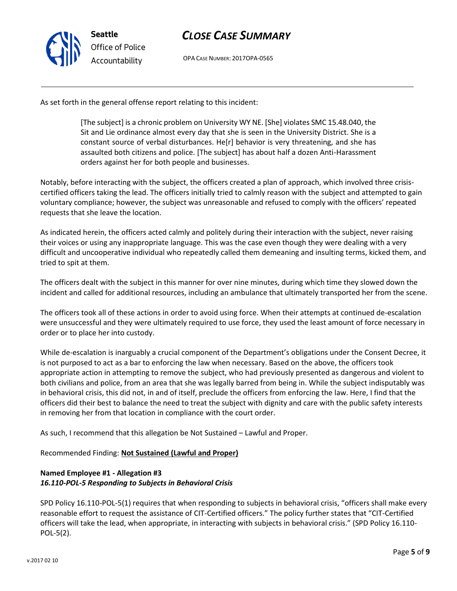

OPA CASE NUMBER: 2017OPA-0565

As set forth in the general offense report relating to this incident:

[The subject] is a chronic problem on University WY NE. [She] violates SMC 15.48.040, the Sit and Lie ordinance almost every day that she is seen in the University District. She is a constant source of verbal disturbances. He[r] behavior is very threatening, and she has assaulted both citizens and police. [The subject] has about half a dozen Anti-Harassment orders against her for both people and businesses.

Notably, before interacting with the subject, the officers created a plan of approach, which involved three crisiscertified officers taking the lead. The officers initially tried to calmly reason with the subject and attempted to gain voluntary compliance; however, the subject was unreasonable and refused to comply with the officers' repeated requests that she leave the location.

As indicated herein, the officers acted calmly and politely during their interaction with the subject, never raising their voices or using any inappropriate language. This was the case even though they were dealing with a very difficult and uncooperative individual who repeatedly called them demeaning and insulting terms, kicked them, and tried to spit at them.

The officers dealt with the subject in this manner for over nine minutes, during which time they slowed down the incident and called for additional resources, including an ambulance that ultimately transported her from the scene.

The officers took all of these actions in order to avoid using force. When their attempts at continued de-escalation were unsuccessful and they were ultimately required to use force, they used the least amount of force necessary in order or to place her into custody.

While de-escalation is inarguably a crucial component of the Department's obligations under the Consent Decree, it is not purposed to act as a bar to enforcing the law when necessary. Based on the above, the officers took appropriate action in attempting to remove the subject, who had previously presented as dangerous and violent to both civilians and police, from an area that she was legally barred from being in. While the subject indisputably was in behavioral crisis, this did not, in and of itself, preclude the officers from enforcing the law. Here, I find that the officers did their best to balance the need to treat the subject with dignity and care with the public safety interests in removing her from that location in compliance with the court order.

As such, I recommend that this allegation be Not Sustained – Lawful and Proper.

Recommended Finding: **Not Sustained (Lawful and Proper)**

## **Named Employee #1 - Allegation #3** *16.110-POL-5 Responding to Subjects in Behavioral Crisis*

SPD Policy 16.110-POL-5(1) requires that when responding to subjects in behavioral crisis, "officers shall make every reasonable effort to request the assistance of CIT-Certified officers." The policy further states that "CIT-Certified officers will take the lead, when appropriate, in interacting with subjects in behavioral crisis." (SPD Policy 16.110- POL-5(2).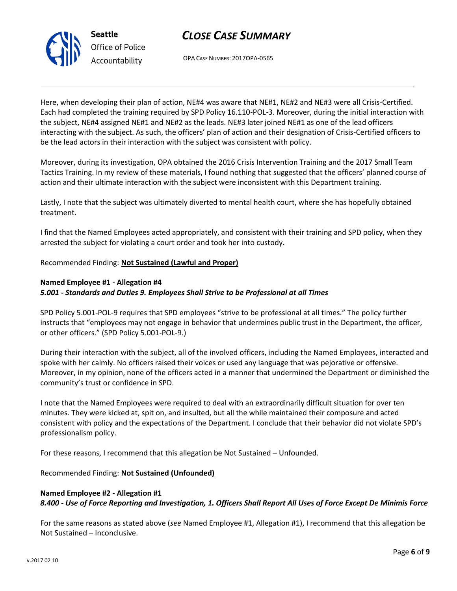

OPA CASE NUMBER: 2017OPA-0565

Here, when developing their plan of action, NE#4 was aware that NE#1, NE#2 and NE#3 were all Crisis-Certified. Each had completed the training required by SPD Policy 16.110-POL-3. Moreover, during the initial interaction with the subject, NE#4 assigned NE#1 and NE#2 as the leads. NE#3 later joined NE#1 as one of the lead officers interacting with the subject. As such, the officers' plan of action and their designation of Crisis-Certified officers to be the lead actors in their interaction with the subject was consistent with policy.

Moreover, during its investigation, OPA obtained the 2016 Crisis Intervention Training and the 2017 Small Team Tactics Training. In my review of these materials, I found nothing that suggested that the officers' planned course of action and their ultimate interaction with the subject were inconsistent with this Department training.

Lastly, I note that the subject was ultimately diverted to mental health court, where she has hopefully obtained treatment.

I find that the Named Employees acted appropriately, and consistent with their training and SPD policy, when they arrested the subject for violating a court order and took her into custody.

Recommended Finding: **Not Sustained (Lawful and Proper)**

## **Named Employee #1 - Allegation #4**

### *5.001 - Standards and Duties 9. Employees Shall Strive to be Professional at all Times*

SPD Policy 5.001-POL-9 requires that SPD employees "strive to be professional at all times." The policy further instructs that "employees may not engage in behavior that undermines public trust in the Department, the officer, or other officers." (SPD Policy 5.001-POL-9.)

During their interaction with the subject, all of the involved officers, including the Named Employees, interacted and spoke with her calmly. No officers raised their voices or used any language that was pejorative or offensive. Moreover, in my opinion, none of the officers acted in a manner that undermined the Department or diminished the community's trust or confidence in SPD.

I note that the Named Employees were required to deal with an extraordinarily difficult situation for over ten minutes. They were kicked at, spit on, and insulted, but all the while maintained their composure and acted consistent with policy and the expectations of the Department. I conclude that their behavior did not violate SPD's professionalism policy.

For these reasons, I recommend that this allegation be Not Sustained – Unfounded.

Recommended Finding: **Not Sustained (Unfounded)**

### **Named Employee #2 - Allegation #1** *8.400 - Use of Force Reporting and Investigation, 1. Officers Shall Report All Uses of Force Except De Minimis Force*

For the same reasons as stated above (*see* Named Employee #1, Allegation #1), I recommend that this allegation be Not Sustained – Inconclusive.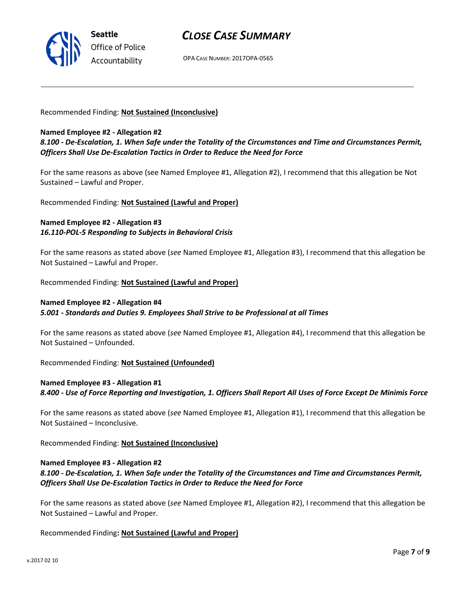

OPA CASE NUMBER: 2017OPA-0565

#### Recommended Finding: **Not Sustained (Inconclusive)**

#### **Named Employee #2 - Allegation #2**

*8.100 - De-Escalation, 1. When Safe under the Totality of the Circumstances and Time and Circumstances Permit, Officers Shall Use De-Escalation Tactics in Order to Reduce the Need for Force*

For the same reasons as above (see Named Employee #1, Allegation #2), I recommend that this allegation be Not Sustained – Lawful and Proper.

Recommended Finding: **Not Sustained (Lawful and Proper)**

### **Named Employee #2 - Allegation #3** *16.110-POL-5 Responding to Subjects in Behavioral Crisis*

For the same reasons as stated above (*see* Named Employee #1, Allegation #3), I recommend that this allegation be Not Sustained – Lawful and Proper.

Recommended Finding: **Not Sustained (Lawful and Proper)**

### **Named Employee #2 - Allegation #4**

*5.001 - Standards and Duties 9. Employees Shall Strive to be Professional at all Times*

For the same reasons as stated above (*see* Named Employee #1, Allegation #4), I recommend that this allegation be Not Sustained – Unfounded.

Recommended Finding: **Not Sustained (Unfounded)**

## **Named Employee #3 - Allegation #1** *8.400 - Use of Force Reporting and Investigation, 1. Officers Shall Report All Uses of Force Except De Minimis Force*

For the same reasons as stated above (*see* Named Employee #1, Allegation #1), I recommend that this allegation be Not Sustained – Inconclusive.

Recommended Finding: **Not Sustained (Inconclusive)**

### **Named Employee #3 - Allegation #2**

*8.100 - De-Escalation, 1. When Safe under the Totality of the Circumstances and Time and Circumstances Permit, Officers Shall Use De-Escalation Tactics in Order to Reduce the Need for Force*

For the same reasons as stated above (*see* Named Employee #1, Allegation #2), I recommend that this allegation be Not Sustained – Lawful and Proper.

Recommended Finding**: Not Sustained (Lawful and Proper)**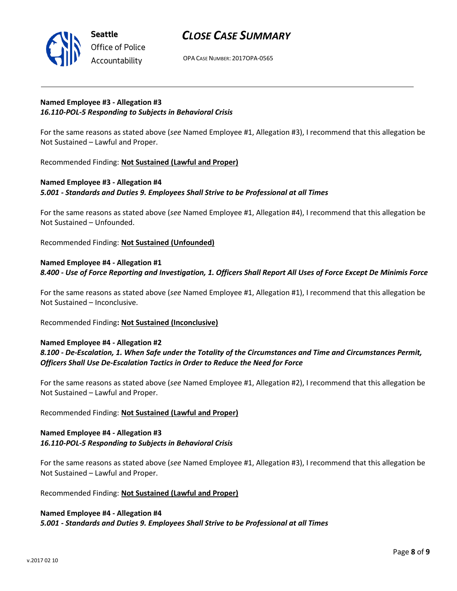

OPA CASE NUMBER: 2017OPA-0565

### **Named Employee #3 - Allegation #3** *16.110-POL-5 Responding to Subjects in Behavioral Crisis*

For the same reasons as stated above (*see* Named Employee #1, Allegation #3), I recommend that this allegation be Not Sustained – Lawful and Proper.

Recommended Finding: **Not Sustained (Lawful and Proper)**

## **Named Employee #3 - Allegation #4** *5.001 - Standards and Duties 9. Employees Shall Strive to be Professional at all Times*

For the same reasons as stated above (*see* Named Employee #1, Allegation #4), I recommend that this allegation be Not Sustained – Unfounded.

Recommended Finding: **Not Sustained (Unfounded)**

## **Named Employee #4 - Allegation #1** *8.400 - Use of Force Reporting and Investigation, 1. Officers Shall Report All Uses of Force Except De Minimis Force*

For the same reasons as stated above (*see* Named Employee #1, Allegation #1), I recommend that this allegation be Not Sustained – Inconclusive.

Recommended Finding**: Not Sustained (Inconclusive)**

### **Named Employee #4 - Allegation #2**

## *8.100 - De-Escalation, 1. When Safe under the Totality of the Circumstances and Time and Circumstances Permit, Officers Shall Use De-Escalation Tactics in Order to Reduce the Need for Force*

For the same reasons as stated above (*see* Named Employee #1, Allegation #2), I recommend that this allegation be Not Sustained – Lawful and Proper.

### Recommended Finding: **Not Sustained (Lawful and Proper)**

### **Named Employee #4 - Allegation #3** *16.110-POL-5 Responding to Subjects in Behavioral Crisis*

For the same reasons as stated above (*see* Named Employee #1, Allegation #3), I recommend that this allegation be Not Sustained – Lawful and Proper.

### Recommended Finding: **Not Sustained (Lawful and Proper)**

### **Named Employee #4 - Allegation #4**

*5.001 - Standards and Duties 9. Employees Shall Strive to be Professional at all Times*